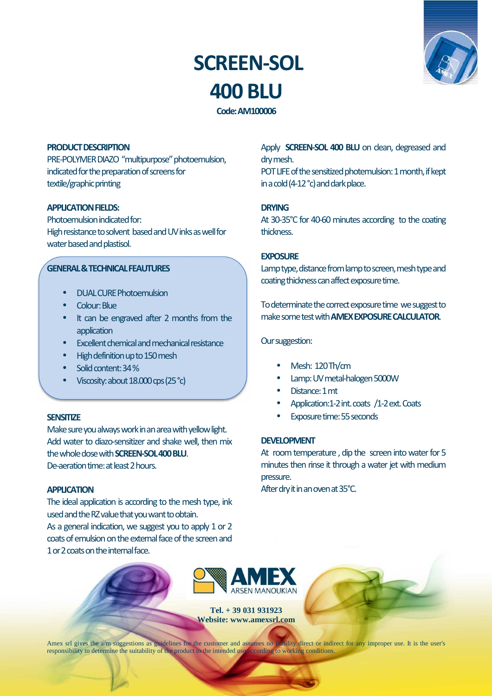# **SCREEN-SOL 400 BLU**



**Code: AM100006** 

#### **PRODUCT DESCRIPTION**

PRE-POLYMER DIAZO "multipurpose" photoemulsion, indicated for the preparation of screens for textile/graphic printing

# **APPLICATION FIELDS:**

Photoemulsion indicated for: High resistance to solvent based and UV inks as well for water based and plastisol.

## **GENERAL & TECHNICAL FEAUTURES**

- DUAL CURE Photoemulsion
- Colour: Blue
- It can be engraved after 2 months from the application
- Excellent chemical and mechanical resistance
- High definition up to 150 mesh
- Solid content: 34 %
- Viscosity: about 18.000 cps (25 °c)

#### **SENSITIZE**

Make sure you always work in an area with yellow light. Add water to diazo-sensitizer and shake well, then mix the whole dose with **SCREEN-SOL 400 BLU**. De-aeration time: at least 2 hours.

**APPLICATION** 

The ideal application is according to the mesh type, ink used and the RZ value that you want to obtain. As a general indication, we suggest you to apply 1 or 2 coats of emulsion on the external face of the screen and 1 or 2 coats on the internal face.

Apply **SCREEN-SOL 400 BLU** on dean, degreased and dry mesh.

POT LIFE of the sensitized photemulsion: 1 month, if kept in a cold (4-12 °c) and dark place.

#### **DRYING**

At 30-35°C for 40-60 minutes according to the coating thickness.

#### **EXPOSURE**

Lamp type, distance from lamp to screen, mesh type and coating thickness can affect exposure time.

To determinate the correct exposure time we suggest to make some test with **AMEX EXPOSURE CALCULATOR**.

Our suggestion:

- Mesh: 120 Th/cm
- Lamp: UV metal-halogen 5000W
- Distance: 1 mt
- Application:1-2 int. coats /1-2 ext. Coats
- Exposure time: 55 seconds

#### **DEVELOPMENT**

At room temperature , dip the screen into water for 5 minutes then rinse it through a water jet with medium pressure.

After dry it in an oven at 35°C.



**Tel. + 39 031 931923 Website: www.amexsrl.com** 

Amex srl gives the a/m suggestions as guidelines for the customer and assumes no liability direct or indirect for any improper use. It is the user's responsibility to determine the suitability of the product to the intended use according to working conditions.